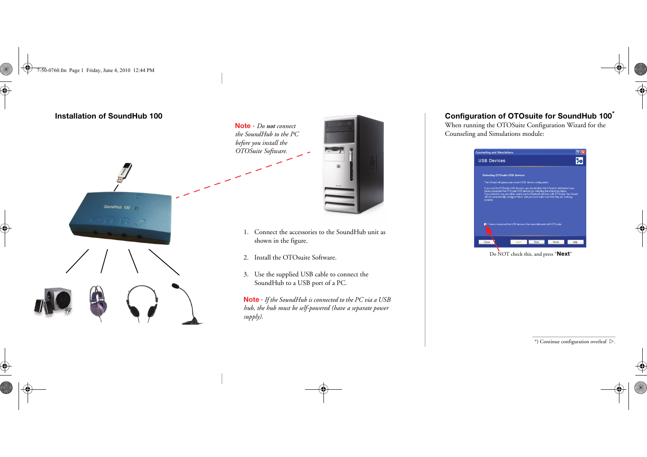7-50-0760.fm Page 1 Friday, June 4, 2010 12:44 PM

♦







- 1. Connect the accessories to the SoundHub unit as shown in the figure.
- 2. Install the OTOsuite Software.
- 3. Use the supplied USB cable to connect the SoundHub to a USB port of a PC.

**Note ·** *If the SoundHub is connected to the PC via a USB hub, the hub must be self-powered (have a separate power* 

## **Configuration of OTOsuite for SoundHub 100\***

When running the OTOSuite Configuration Wizard for the Counseling and Simulations module:



Do NOT check this, and press "**Next**"

 $*$ ) Continue configuration overleaf  $\triangleright$ .